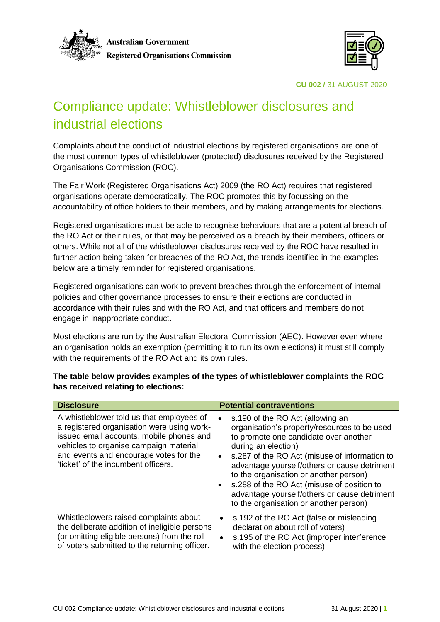

Australian Government Australian Government<br>Registered Organisations Commission<br>  $\begin{array}{c}\n\hline\n\hline\n\text{H} \\
\hline\n\text{M} \\
\hline\n\text{M} \\
\hline\n\end{array}$ 



**CU 002 /** 31 AUGUST 2020

# Compliance update: Whistleblower disclosures and industrial elections

Complaints about the conduct of industrial elections by registered organisations are one of the most common types of whistleblower (protected) disclosures received by the Registered Organisations Commission (ROC).

The Fair Work (Registered Organisations Act) 2009 (the RO Act) requires that registered organisations operate democratically. The ROC promotes this by focussing on the accountability of office holders to their members, and by making arrangements for elections.

Registered organisations must be able to recognise behaviours that are a potential breach of the RO Act or their rules, or that may be perceived as a breach by their members, officers or others. While not all of the whistleblower disclosures received by the ROC have resulted in further action being taken for breaches of the RO Act, the trends identified in the examples below are a timely reminder for registered organisations.

Registered organisations can work to prevent breaches through the enforcement of internal policies and other governance processes to ensure their elections are conducted in accordance with their rules and with the RO Act, and that officers and members do not engage in inappropriate conduct.

Most elections are run by the Australian Electoral Commission (AEC). However even where an organisation holds an exemption (permitting it to run its own elections) it must still comply with the requirements of the RO Act and its own rules.

**The table below provides examples of the types of whistleblower complaints the ROC has received relating to elections:**

| <b>Disclosure</b>                                                                                                                                                                                                                                              | <b>Potential contraventions</b>                                                                                                                                                                                                                                                                                                                                                                                                                                            |
|----------------------------------------------------------------------------------------------------------------------------------------------------------------------------------------------------------------------------------------------------------------|----------------------------------------------------------------------------------------------------------------------------------------------------------------------------------------------------------------------------------------------------------------------------------------------------------------------------------------------------------------------------------------------------------------------------------------------------------------------------|
| A whistleblower told us that employees of<br>a registered organisation were using work-<br>issued email accounts, mobile phones and<br>vehicles to organise campaign material<br>and events and encourage votes for the<br>'ticket' of the incumbent officers. | s.190 of the RO Act (allowing an<br>$\bullet$<br>organisation's property/resources to be used<br>to promote one candidate over another<br>during an election)<br>s.287 of the RO Act (misuse of information to<br>$\bullet$<br>advantage yourself/others or cause detriment<br>to the organisation or another person)<br>s.288 of the RO Act (misuse of position to<br>$\bullet$<br>advantage yourself/others or cause detriment<br>to the organisation or another person) |
| Whistleblowers raised complaints about<br>the deliberate addition of ineligible persons<br>(or omitting eligible persons) from the roll<br>of voters submitted to the returning officer.                                                                       | s.192 of the RO Act (false or misleading<br>$\bullet$<br>declaration about roll of voters)<br>s.195 of the RO Act (improper interference<br>$\bullet$<br>with the election process)                                                                                                                                                                                                                                                                                        |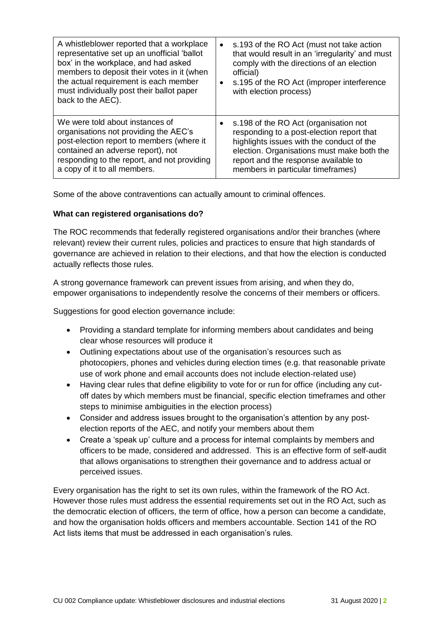| A whistleblower reported that a workplace<br>representative set up an unofficial 'ballot<br>box' in the workplace, and had asked<br>members to deposit their votes in it (when<br>the actual requirement is each member<br>must individually post their ballot paper<br>back to the AEC). | s.193 of the RO Act (must not take action<br>$\bullet$<br>that would result in an 'irregularity' and must<br>comply with the directions of an election<br>official)<br>s.195 of the RO Act (improper interference<br>$\bullet$<br>with election process) |
|-------------------------------------------------------------------------------------------------------------------------------------------------------------------------------------------------------------------------------------------------------------------------------------------|----------------------------------------------------------------------------------------------------------------------------------------------------------------------------------------------------------------------------------------------------------|
| We were told about instances of                                                                                                                                                                                                                                                           | s.198 of the RO Act (organisation not                                                                                                                                                                                                                    |
| organisations not providing the AEC's                                                                                                                                                                                                                                                     | responding to a post-election report that                                                                                                                                                                                                                |
| post-election report to members (where it                                                                                                                                                                                                                                                 | highlights issues with the conduct of the                                                                                                                                                                                                                |
| contained an adverse report), not                                                                                                                                                                                                                                                         | election. Organisations must make both the                                                                                                                                                                                                               |
| responding to the report, and not providing                                                                                                                                                                                                                                               | report and the response available to                                                                                                                                                                                                                     |
| a copy of it to all members.                                                                                                                                                                                                                                                              | members in particular timeframes)                                                                                                                                                                                                                        |

Some of the above contraventions can actually amount to criminal offences.

## **What can registered organisations do?**

The ROC recommends that federally registered organisations and/or their branches (where relevant) review their current rules, policies and practices to ensure that high standards of governance are achieved in relation to their elections, and that how the election is conducted actually reflects those rules.

A strong governance framework can prevent issues from arising, and when they do, empower organisations to independently resolve the concerns of their members or officers.

Suggestions for good election governance include:

- Providing a standard template for informing members about candidates and being clear whose resources will produce it
- Outlining expectations about use of the organisation's resources such as photocopiers, phones and vehicles during election times (e.g. that reasonable private use of work phone and email accounts does not include election-related use)
- Having clear rules that define eligibility to vote for or run for office (including any cutoff dates by which members must be financial, specific election timeframes and other steps to minimise ambiguities in the election process)
- Consider and address issues brought to the organisation's attention by any postelection reports of the AEC, and notify your members about them
- Create a 'speak up' culture and a process for internal complaints by members and officers to be made, considered and addressed. This is an effective form of self-audit that allows organisations to strengthen their governance and to address actual or perceived issues.

Every organisation has the right to set its own rules, within the framework of the RO Act. However those rules must address the essential requirements set out in the RO Act, such as the democratic election of officers, the term of office, how a person can become a candidate, and how the organisation holds officers and members accountable. Section 141 of the RO Act lists items that must be addressed in each organisation's rules.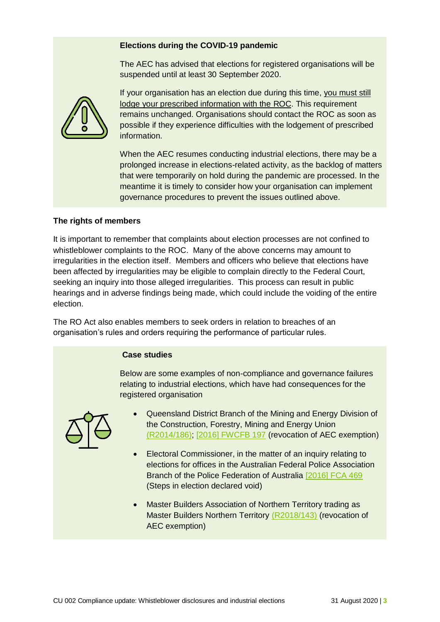### **Elections during the COVID-19 pandemic**

The AEC has advised that elections for registered organisations will be suspended until at least 30 September 2020.



If your organisation has an election due during this time, you must still lodge your prescribed information with the ROC. This requirement remains unchanged. Organisations should contact the ROC as soon as possible if they experience difficulties with the lodgement of prescribed information.

When the AEC resumes conducting industrial elections, there may be a prolonged increase in elections-related activity, as the backlog of matters that were temporarily on hold during the pandemic are processed. In the meantime it is timely to consider how your organisation can implement governance procedures to prevent the issues outlined above.

### **The rights of members**

It is important to remember that complaints about election processes are not confined to whistleblower complaints to the ROC. Many of the above concerns may amount to irregularities in the election itself. Members and officers who believe that elections have been affected by irregularities may be eligible to complain directly to the Federal Court, seeking an inquiry into those alleged irregularities. This process can result in public hearings and in adverse findings being made, which could include the voiding of the entire election.

The RO Act also enables members to seek orders in relation to breaches of an organisation's rules and orders requiring the performance of particular rules.

### **Case studies**

Below are some examples of non-compliance and governance failures relating to industrial elections, which have had consequences for the registered organisation



- Queensland District Branch of the Mining and Energy Division of the Construction, Forestry, Mining and Energy Union [\(R2014/186\);](https://www.fwc.gov.au/documents/documents/registrars_decisions/2015fwcd7109.htm) [\[2016\] FWCFB 197](https://www.fwc.gov.au/documents/decisionssigned/html/2016fwcfb197.htm) (revocation of AEC exemption)
- Electoral Commissioner, in the matter of an inquiry relating to elections for offices in the Australian Federal Police Association Branch of the Police Federation of Australia [\[2016\] FCA 469](http://www.austlii.edu.au/cgi-bin/viewdoc/au/cases/cth/FCA/2016/469.html?context=1;query=2016%5d%20FCA%20469%20;mask_path=) (Steps in election declared void)
- Master Builders Association of Northern Territory trading as Master Builders Northern Territory [\(R2018/143\)](https://www.roc.gov.au/ArticleDocuments/379/251v-r2018-143.pdf.aspx) (revocation of AEC exemption)